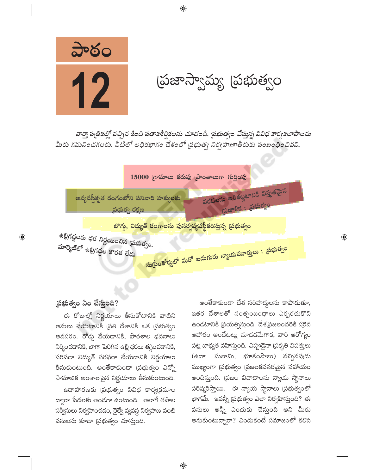

(పజాస్వామ్య (పభుత్వం

వార్తా పత్రికల్లో వచ్చిన కింది పతాకశీర్షికలను చూడండి. ప్రభుత్వం చేస్తున్న వివిధ కార్యకలాపాలను మీరు గమనించగలరు. వీటిలో అధికభాగం దేశంలో ప్రభుత్వ నిర్వహణాతీరుకు సంబంధించినవి.

 $\bigoplus$ 



## (పభుత్వం ఏం చేస్తుంది?

 $\bigoplus$ 

ఈ రోజుల్లో నిర్ణయాలు తీసుకోటానికి వాటిని అమలు చేయటానికి (పతి దేశానికి ఒక (పభుత్వం అవసరం. రోడ్న వేయడానికి, పాఠశాల భవనాలు నిర్మించదానికి, బాగా పెరిగిన ఉల్లి ధరలు తగ్గించదానికి, సరిపడా విద్యుత్ సరఫరా చేయడానికి నిర్ణయాలు తీసుకుంటుంది. అంతేకాకుండా (పభుత్వం ఎన్నో సామాజిక అంశాలపైన నిర్ణయాలు తీసుకుంటుంది.

ఉదాహరణకు (పభుత్వం వివిధ కార్య(కమాల ద్వారా పేదలకు అండగా ఉంటుంది. అలాగే తపాల సర్వీసులు నిర్వహించడం, రైల్వే వ్యవస్థ నిర్వహణ వంటి పనులను కూడా (పభుత్వం చూస్తుంది.

అంతేకాకుండా దేశ సరిహద్దలను కాపాదుతూ, ఇతర దేశాలతో సంత్సంబంధాలు ఏర్పరచుకొని ఉండటానికి (పయత్నిస్తుంది. దేశ(పజలందరికి సరైన ఆహారం అందేటట్లు చూడడమేగాక, వారి ఆరోగ్యం పట్ల బాధ్యత వహిస్తుంది. ఎప్పుడైనా (పకృతి విపత్తులు (ఉదా: సునామి, భూకంపాలు) వచ్చినపుడు ముఖ్యంగా (పభుత్వం (పజలకవసరమైన సహాయం అందిస్తుంది. (పజల వివాదాలను న్యాయ స్థానాలు పరిష్కరిస్తాయి. ఈ న్యాయ స్థానాలు (పభుత్వంలో భాగమే. ఇవన్నీ [పభుత్వం ఎలా నిర్వహిస్తుంది? ఈ పనులు అన్నీ ఎందుకు చేస్తుంది అని మీరు అనుకుంటున్నారా? ఎందుకంటే సమాజంలో కలిసి  $\overline{\mathbb{Q}}$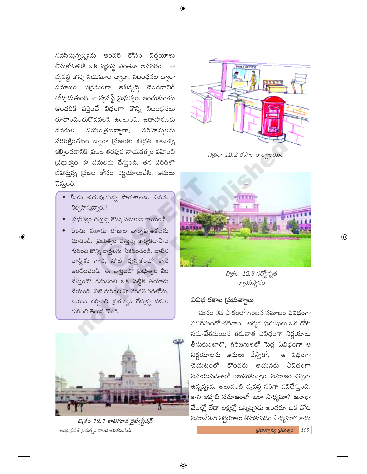నివసిస్తున్నప్పుడు అందరి కోసం నిర్ణయాలు తీసుకోటానికి ఒక వ్యవస్థ ఎంతైనా అవసరం. ఆ వ్యవస్థ కొన్ని నియమాల ద్వారా, నిబంధనల ద్వారా సమాజం స(కమంగా అభివృద్ధి చెందడానికి తోద్పదుతుంది. ఆ వ్యవస్థే (పభుత్వం. ఇందుకుగాను అందరికీ వర్తించే విధంగా కొన్ని నిబంధనలు రూపొందించుకొనవలసి ఉంటుంది. ఉదాహరణకు సరిహద్దులను నియంత్రణద్వారా, వనరుల పరిరక్షించటం ద్వారా (పజలకు భ(దత భావాన్ని కల్పించడానికి (పజల తరపున నాయకత్వం వహించి ప్రభుత్వం ఈ పనులను చేస్తుంది. తన పరిధిలో జీవిస్తున్న (పజల కోసం నిర్ణయాలుచేసి, అమలు చేస్తుంది.

- ◆ మీరు చదువుతున్న పాఠశాలను ఎవరు నిర్వహిస్తున్నారు?
- ర్రుభుత్వం చేస్తున్న కొన్ని పనులను రాయండి.

 $\bigoplus$ 

ెరెండు మూడు రోజుల వారాపౖతికలను చూడండి. (పభుత్వం చేస్తున్న కార్యకలాపాల గురించి కొన్ని వార్తలను సేకరించండి. వాటిని చార్ట్ కు గాని, నోట్ పుస్తకంలో కాని అంటించండి. ఈ వార్తలలో (ప్రభుత్వం ఏం చేసుందో గమనించి ఒక పట్టిక తయారు చేయండి. వీటి గురించి మీ తరగతి గదిలోను, బయట చర్చించి (పభుత్వం చేస్తున్న పనుల గురించి తెలుసుకోండి.



చిత్రం 12.1 కాచిగూడ రైల్వేస్టేషన్ ఆంధ్ర(పదేశ్ (పభుత్వం వారిచే ఉచితపంపిణీ



చిత్రం: 12.2 తపాల కార్యాలయం



చిత్రం: 12.3 సర్వోన్నత న్యాయస్థానం

#### వివిధ రకాల ప్రభుత్వాలు

మనం 9వ పాఠంలో గిరిజన సమాజం ఏవిధంగా పనిచేస్తుందో చదివాం. అక్కడ పురుషులు ఒక చోట సమావేశమయిన తరువాత ఏవిధంగా నిర్ణయాలు తీసుకుంటారో, గిరిజనులలో పెద్ద ఏవిధంగా ఆ నిర్ణయాలను అమలు చేస్తాడో, ఆ విధంగా చేయటంలో కొందరు ఆయనకు ఏవిధంగా సహాయపడతారో తెలుసుకున్నాం. సమాజం చిన్నగా ఉన్నప్పుడు అటువంటి వ్యవస్థ సరిగా పనిచేస్తుంది. కాని ఇప్పటి సమాజంలో ఇలా సాధ్యమా? జనాభా వేలల్లో లేదా లక్షల్లో ఉన్నప్పుడు అందరూ ఒక చోట సమావేశమై నిర్ణయాలు తీసుకోవడం సాధ్యమా? కాదు

 $\omega$ జాస్వామ్య  $\omega$ భుత్వం 105

 $\bigoplus$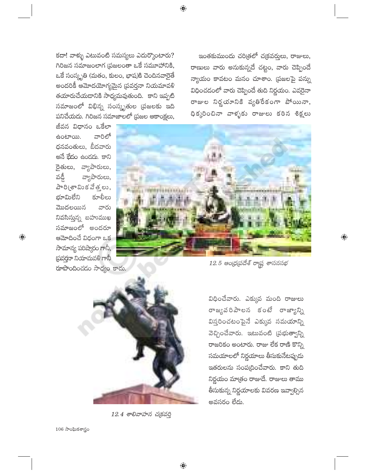కదా! వాళ్ళు ఎటువంటి సమస్యలు ఎదుర్కొంటారు? గిరిజన సమాజంలాగ (పజలంతా ఒకే సమూహానికి, ఒకే సంస్కృతి (మతం, కులం, భాష)కి చెందినవారైతే అందరికీ ఆమోదయోగ్యమైన <mark>ప్రవర్తనా నియమావ</mark>ళి తయారుచేయడానికి సాధ్యమవుతుంది. కాని ఇప్పటి సమాజంలో విభిన్న సంస్కృతుల (పజలకు ఇది .<br>పనిచేయదు. గిరిజన సమాజాలలో (పజల ఆకాంక్షలు,

జీవన విధానం ఒకేలా వారిలో ఉంటాయి. ధనవంతులు, బీదవారు అనే భేదం ఉండదు. కాని రైతులు, వ్యాపారులు, వ్యాపారులు, వడ్డీ పారి(శామిక వేత్తలు, భూమిలేని కూలీలు మొదలయిన వారు నివసిస్తున్న బహుముఖ సమాజంలో అందరూ ఆమోదించే విధంగా ఒక సామాన్య పరిష్మారం గానీ, స్రవర్గనా నియామవళి గానీ ా —<br>రూపొందించడం సాధ్యం కాదు.

 $\bigoplus$ 

ఇంతకుముందు చరిత్రలో చ(కవర్తులు, రాజులు, రాణులు వారు అనుకున్నదే చట్టం, వారు చెప్పిందే న్యాయం కావటం మనం చూశాం. (పజలపై పన్ను విధించడంలో వారు చెప్పిందే తుది నిర్ణయం. ఎవరైనా రాజుల నిర్ణయానికి వ్యతిరేకంగా పోయినా, ధిక్కరించినా వాళ్ళకు రాజులు కఠిన శిక్షలు



 $12.5$  ఆంధ్రప్రదేశ్ రాష్ట్ర శాసనసభ

 $\bigoplus$ 

12.4 శాలివాహన చక్రవర్తి

 $\bigoplus$ 

విధించేవారు. ఎక్కువ మంది రాజులు రాజ్యపరిపాలన కంటే రాజ్యాన్ని విస్తరించటంపైనే ఎక్కువ సమయాన్ని వెచ్చించేవారు. ఇటువంటి (పభుత్వాన్ని రాజరికం అంటారు. రాజు లేక రాణి కొన్ని సమయాలలో నిర్ణయాలు తీసుకునేటప్పుడు ఇతరులను సంప(ధించేవారు. కాని తుది నిర్ణయం మాత్రం రాజుదే. రాజులు తాము తీసుకున్న నిర్ణయాలకు వివరణ ఇవ్వాల్సిన అవసరం లేదు.

 $106$  సాంఘికశాస్త్రం

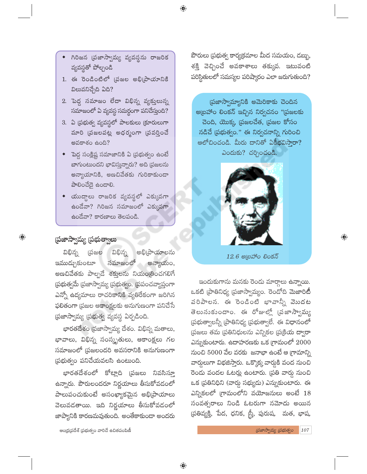⊕

- గిరిజన (పజాస్వామ్య వ్యవస్థను రాజరిక వ్యవస్థతో పోల్చండి
- 1. ఈ రెండింటిలో (పజల అభి(పాయానికి విలువనిచ్చేది ఏది?
- 2. పెద్ద సమాజం లేదా విభిన్న వ్యక్తులున్న సమాజంలో ఏ వ్యవస్థ సమర్థంగా పనిచేస్తుంది?
- 3. ఏ ప్రభుత్వ వ్యవస్థలో పాలకులు క్రూరులుగా మారి (పజలపట్ల అధర్మంగా (పవర్తించే అవకాశం ఉంది?
- పెద్ద సంక్లిష్ట సమాజానికి ఏ (పభుత్వం ఉంటే బాగుంటుందని భావిస్తున్నారు? అది (పజలను అన్యాయానికి, అణచివేతకు గురికాకుండా పాలించేదై ఉండాలి.
- $\bullet$  యుద్ధాలు రాజరిక వ్యవస్థలో ఎక్కువగా ఉండేవా? గిరిజన సమాజంలో ఎక్కువగా ఉండేవా? కారణాలు తెలపండి.

#### ప్రజాస్వామ్య (పభుత్వాలు

 $\bigoplus$ 

విభిన్న విభిన్న (పజల అభి(పాయాలను అన్యాయం, ఇముడ్చుకుంటూ సమాజంలో అణచివేతకు పాల్పడే శక్తులను నియం(తించగలిగే  $\tilde{a}$ భుత్వమే (పజాస్వామ్య (పభుత్వం. (పపంచవ్యాప్తంగా ఎన్నో ఉద్యమాలు రాచరికానికి వ్యతిరేకంగా జరిగిన ఫలితంగా (పజల ఆకాంక్షలకు అనుగుణంగా పనిచేసే (పజాస్వామ్య (పభుత్వ వ్యవస్థ ఏర్పడింది.

భారతదేశం (పజాస్వామ్య దేశం. విభిన్న మతాలు, భావాలు, విభిన్న సంస్కృతులు, ఆకాంక్షలు గల సమాజంలో (పజలందరి అవసరానికి అనుగుణంగా (పథుత్వం పనిచేయవలసి ఉంటుంది.

భారతదేశంలో కోట్లాది (పజలు నివసిస్తూ ఉన్నారు. పౌరులందరూ నిర్ణయాలు తీసుకోవడంలో పాలుపంచుకుంటే అసంఖ్యాకమైన అభి[పాయాలు వెలువదతాయి. ఇది నిర్ణయాలు తీసుకోవడంలో జాప్యానికి కారణమవుతుంది. అంతేకాకుండా అందరు

ఆంధ్రప్రదేశ్ (పభుత్వం వారిచే ఉచితపంపిణీ

పౌరులు (పభుత్వ కార్య(క్రమాల మీద సమయం, డబ్బు, శక్తి వెచ్చించే అవకాశాలు తక్కువ. ఇటువంటి పరిస్థితులలో సమస్యల పరిష్కారం ఎలా జరుగుతుంది?

 $62$ జాస్వామ్యానికి అమెరికాకు చెందిన అ[బహాం లింకన్ ఇచ్చిన నిర్వచనం "[పజలకు చెంది, యొక్క (పజలచేత, (పజల కోసం నడిచే ప్రభుత్వం." ఈ నిర్వచనాన్ని గురించి ఆలోచించండి. మీరు దానితో ఏకీభవిసారా? ఎందుకు? చర్చించండి.



 $12.6$  මැ $\omega$ ණ්ර වරජ $\bar{5}$ 

 $\bigoplus$ 

ఇందుకుగాను మనకు రెందు మార్గాలు ఉన్నాయి. ఒకటి (పాతినిధ్య (పజాస్వామ్యం. రెండోది మెజారిటీ .<br>పరిపాలన. ఈ రెండింటి భావాన్నీ వెుుదట తెలుసుకుందాం. ఈ రోజుల్లో (పజాస్వామ్య (పభుత్వాలన్నీ (పాతినిధ్య (పభుత్వాలే. ఈ విధానంలో (పజలు తమ (పతినిధులను ఎన్నికల (ప(కియ ద్వారా ఎస్నుకుంటారు. ఉదాహరణకు ఒక గ్రామంలో  $2000$ నుంచి 5000 వేల వరకు జనాభా ఉంటే ఆ గ్రామాన్ని వార్గులుగా విభజిస్తారు. ఒక్కొక్క వార్కకి వంద నుంచి రెండు వందల ఓటర్లు ఉంటారు. (పతి వార్డు నుంచి ఒక (పతినిధిని (వార్డు సభ్యుడు) ఎన్నుకుంటారు. ఈ ఎన్నికలలో గ్రామంలోని వయోజనులు అంటే  $18$ సంవత్సరాలు నిండి ఓటరుగా నమోదు అయిన (పతివ్యక్తి, పేద, ధనిక, స్ర్తీ, పురుష, మత, భాష,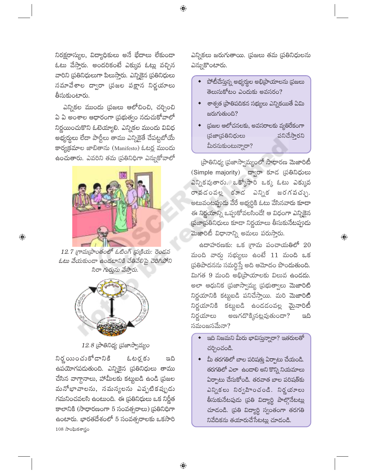నిరక్షరాస్యుల, విద్యాధికులు అనే భేదాలు లేకుండా ఓటు వేస్తారు. అందరికంటే ఎక్కువ ఓట్లు వచ్చిన వారిని [పతినిధులుగా పిలుస్తారు. ఎన్నికెన [పతినిధులు సమావేశాల ద్వారా (పజల పక్షాన నిర్ణయాలు తీసుకుంటారు.

ఎన్నికల ముందు (పజలు ఆలోచించి, చర్చించి ఏ ఏ అంశాల ఆధారంగా (పభుత్వం నదుచుకోవాలో నిర్ణయించుకొని ఓటెయ్యాలి. ఎన్నికల ముందు వివిధ అభ్యర్థలు లేదా పార్టీలు తాము ఎన్నికైతే చేపట్టబోయే కార్య(క్రమాల జాబితాను (Manifesto) ఓటర్ల ముందు ఉంచుతారు. ఎవరిని తమ (పతినిధిగా ఎన్నుకోవాలో



 $\bigoplus$ 

12.7 గ్రామ(పాంతంలో ఓటింగ్ (ప్రక్రియ: రెండవ ఓటు వేయకుండా ఉండటానికి చేతివేలిపై చెరిగిపోని సిరా గుర్తును వేసారు.



 $12.8$  (పాతినిధ్య (పజాస్వామ్యం

నిర్ణ యించుకోడానికి ఓటర్ల కు ಇದಿ ఉపయోగపదుతుంది. ఎన్నికైన (పతినిధులు తాము చేసిన వాగ్దానాలు, హామీలకు కట్టుబడి ఉండి (పజల మనోభావాలను, సమస్యలను ఎప్పటికప్పుడు గమనించవలసి ఉంటుంది. ఈ ప్రతినిధులు ఒక నిర్ణీత కాలానికి (సాధారణంగా 5 సంవత్సరాలు) (పతినిధిగా ఉంటారు. భారతదేశంలో 5 సంవత్సరాలకు ఒకసారి  $108$  సాంఘికశాస్త్రం

ఎన్నికలు జరుగుతాయి. (పజలు తమ (పతినిధులను ఎన్నుకొంటారు.

- పోటీచేస్తున్న అభ్యర్థుల అభిప్రాయాలను (పజలు తెలుసుకోటం ఎందుకు అవసరం?
- $\bullet$  శాశ్వత (పాతిపదికన సభ్యులు ఎన్నికయితే ఏమి జరుగుతుంది?
- $\bullet$  ప్రజల ఆలోచనలకు, అవసరాలకు వ్యతిరేకంగా పనిచేస్తారని (పజా(పతినిధులు మీరనుకుంటున్నారా?

ప్రాతినిధ్య ప్రజాస్వామ్యంలో సాధారణ మెజారిటీ (Simple majority) ద్వారా కూడ (పతినిధులు ఎన్నికవుతారు. ఒక్కోసారి ఒక్క ఓటు ఎక్కువ రావడంవల్ల కూడ ఎన్నిక జరగవచ్చు. అటువంటప్పుడు వేరే అభ్యర్ధికి ఓటు వేసినవారు కూడా ఈ నిర్ణయాన్ని ఒప్పుకోవలసిందే! ఆ విధంగా ఎన్నికైన ప్రజాప్రతినిధులు కూడా నిర్ణయాలు తీసుకునేటప్పుడు మెజారిటీ విధానాన్ని అమలు పరుస్తారు.

 $\bigoplus$ 

 $\frac{1}{6}$ దాహరణకు: ఒక గ్రామ పంచాయతిలో 20 మంది వార్న సభ్యులు ఉంటే  $11$  మంది ఒక (పతిపాదనను సమర్థిస్తే అది ఆమోదం పొందుతుంది. మిగత 9 మంది అభి[ప్రాయాలకు విలువ ఉండదు. అలా ఆధునిక (పజాస్వామ్య (పభుత్వాలు మెజారిటీ నిర్ణయానికి కట్టుబడి పనిచేస్తాయి. మరి మెజారిటీ నిర్ణయానికి కట్టుబడి ఉందడంవల్ల మైనారిటీ అణగదొక్కినట్లవుతుందా? నిర్ణయాలు ಇದಿ సమంజసమేనా?

- ్దది నిజమని మీరు భావిస్తున్నారా? ఇతరులతో చర్చించండి.
- $\bullet$  మీ తరగతిలో బాల పరిషత్తు ఏర్పాటు చేయండి. తరగతిలో ఎలా ఉందాలి అని కొన్ని నియమాలు ఏర్పాటు చేసుకోండి. తరవాత బాల పరిషత్కు ఎన్నికలు నిర్వహించండి. నిర్ణయాలు తీసుకునేటపుడు (పతి విద్యార్థి పాల్గొనేటట్లు చూడండి. (పతి విద్యార్థి స్వంతంగా తరగతి నివేదికను తయారుచేసేటట్లు చూడండి.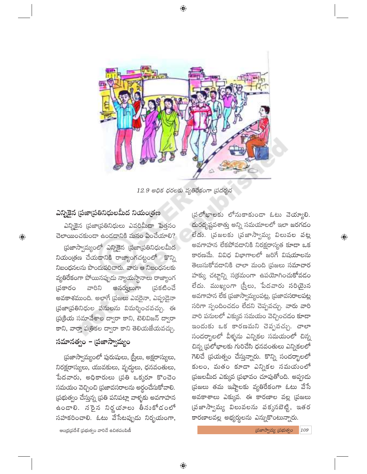12.9 అధిక ధరలకు వ్యతిరేకంగా (పదర్శన

## ఎన్నికైన (పజా(పతినిధులమీద నియం(తణ

 $\bigoplus$ 

ఎన్నికైన (పజా[పతినిధులు ఎవరిమీ<mark>దా</mark> పెత్తనం చెలాయించకుండా ఉండడానికి మనం ఏంచేయాలి? ప్రజాస్వామ్యంలో ఎన్నికైన ప్రజాప్రతినిధులమీద నియంత్రణ చేయదానికి రాజ్యాంగచట్టంలో కొన్ని నిబంధనలను పొందుపరిచారు. వారు ఆ నిబంధనలకు వ్యతిరేకంగా పోయినప్పుడు న్యాయస్థానాలు రాజ్యాంగ (పకటించే అనర్శులుగా **బ్రకారం** ವಾರಿನಿ అవకాశముంది. అలాగే <mark>ప్రజలు ఎవరైనా, ఎప్ప</mark>ుడైనా (పజా(పతినిధుల పనులను విమర్శించవచ్చు. ఈ థుక్రియ సమావేశాల ద్వారా కాని, టెలివిజన్ ద్వారా కాని, వార్తా పత్రికల ద్వారా కాని తెలియజేయవచ్చు.

#### సమానత్వం – ప్రజాస్వామ్యం

(పజాస్వామ్యంలో పురుషులు, స్ర్తీలు, అక్షరాస్యులు, నిరక్షరాస్యులు, యువకులు, వృద్దలు, ధనవంతులు, పేదవారు, అధికారులు <mark>(పతి ఒక్కరూ కొంచె</mark>ం సమయం వెచ్చించి ప్రజావసరాలను అర్థంచేసుకోవాలి. <mark>ర్రుభుత్వం చేస్తున్న (పతి పనిపట్లా వాళ్ళకు అవగాహ</mark>న ఉండాలి. నరైన నిర్ణయాలు తీనుకోడంలో సహకరించాలి. ఓటు వేసేటప్పుడు నిర్భయంగా,

ఆంధ్ర(పదేశ్ (పభుత్వం వారిచే ఉచితపంపిణీ

(పలోభాలకు లోనుకాకుండా ఓటు వెయ్యాలి. దురదృష్టవశాత్తు అన్ని సమయాలలో ఇలా జరగదం .<br>లేదు. <sub>(</sub>పజలకు (పజాస్వామ్య విలువల పట్ల "<br>అవగాహన లేకపోవడానికి నిరక్షరాస్యత కూడా ఒక కారణమే. వివిధ విభాగాలలో జరిగే విషయాలను తెలుసుకోవడానికి చాలా మంది (పజలు సమాచార హక్కు చట్టాన్ని స(క్రమంగా ఉపయోగించుకోవడం లేదు. ముఖ్యంగా (స్త్రీలు, పేదవారు సరియైన అవగాహన లేక (పజాస్వామ్యంపట్ల, (పజావసరాలపట్ల సరిగా స్పందించడం లేదని చెప్పవచ్చు. వారు వారి వారి పనులలో ఎక్కువ సమయం వెచ్చించడం కూడా ఇందుకు ఒక కారణమని చెప్పవచ్చు. చాలా సందర్భాలలో వీళ్ళను ఎన్నికల సమయంలో చిన్న చిన్న (పలోభాలకు గురిచేసి ధనవంతులు ఎన్నికలలో గెలిచే (పయత్నం చేస్తున్నారు. కొన్ని సందర్భాలలో కులం, మతం కూడా ఎన్నికల సమయంలో (పజలమీద ఎక్కువ (పభావం చూపుతోంది. అప్పుడు ప్రజలు తమ ఇ<mark>వ్</mark>మెలకు వ్యతిరేకంగా ఓటు వేసే అవకాశాలు ఎక్కువ. ఈ కారణాల వల్ల (పజలు (వజాస్వామ్య విలువలను పక్కనబెట్టి, ఇతర కారణాలవల్ల అభ్యర్థలను ఎస్నుకొంటున్నారు.

 $\overline{\mathbb{Q}}$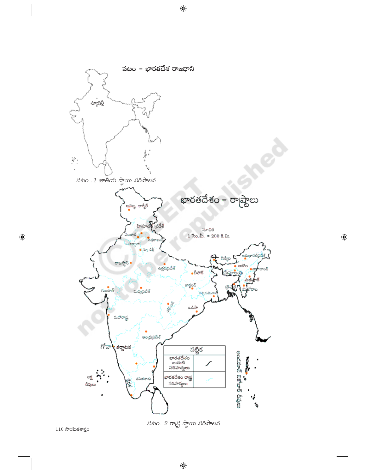

 $\bigoplus$ 

 $110$  సాంఘికశాస్త్రం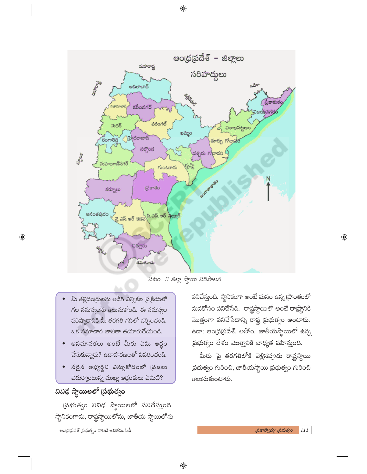మహారాష్ట

ఆంధ్రప్రదేశ్ – జిల్లాలు

సరిహద్దలు

| <b>PASSED</b><br>అదిలాబాద్                                    |                                  | ಒಡಿಸ್       |
|---------------------------------------------------------------|----------------------------------|-------------|
|                                                               |                                  |             |
|                                                               | <b>CERNICA</b>                   |             |
|                                                               |                                  | శ్రీకాకుళం/ |
| నిజామాబాద్, <sup>2</sup><br>కరీంనగర్                          |                                  |             |
|                                                               |                                  | విజయనగర్రర  |
|                                                               | Cr2,                             |             |
| వరంగల్                                                        |                                  |             |
| మెదక్                                                         |                                  | విశాఖపట్టణం |
|                                                               | ఖమ్మం                            |             |
| <u>) హ</u> ైదరాబాద్                                           |                                  |             |
| రంగారెడ్డి                                                    | తూర్పు గోదావర                    |             |
| నల్గొండ                                                       |                                  |             |
|                                                               | ž<br><sub>ు</sub> పశ్చిమ గోదావరి |             |
| a<br>a                                                        |                                  |             |
| మహ <mark>బూబ్</mark> నగర్                                     |                                  |             |
| గుంటూరు                                                       | (इंग्द्रे                        |             |
|                                                               |                                  |             |
|                                                               |                                  | N           |
|                                                               |                                  |             |
| ద్రకాశం<br>కర్నూలు                                            |                                  |             |
|                                                               | SOM BRANCO                       |             |
|                                                               |                                  |             |
|                                                               |                                  |             |
|                                                               |                                  |             |
| అనంతపురం<br>వై.ఎస్.ఆర్ కడప్ప <sup>వి.ఎస్.ఆర్ స్టేల్లూర్</sup> |                                  |             |
|                                                               |                                  |             |
|                                                               |                                  |             |
|                                                               |                                  |             |
| È.                                                            |                                  |             |
|                                                               |                                  |             |
| చిత్తూరు                                                      |                                  |             |
| <b>SORGHT</b>                                                 |                                  |             |
|                                                               |                                  |             |
| తమిళనాదు                                                      |                                  |             |
|                                                               |                                  |             |

పటం. 3 జిల్లా స్థాయి పరిపాలన

- మీ తల్లిదండ్రులను అడిగి ఎన్నికల ప్రక్రియలో గల సమస్యలను తెలుసుకోండి. ఈ సమస్యల పరిష్మారానికి మీ తరగతి గదిలో చర్చించండి. ఒక సమాచార జాబితా తయారుచేయండి.
- అసమానతలు అంటే మీరు ఏమి అర్థం .<br>చేసుకున్నారు? ఉదాహరణలతో వివరించండి.
- $\bullet$  సరైన అభ్యర్థిని ఎస్నుకోదంలో (పజలు ఎదుర్కొంటున్న ముఖ్య అడ్దంకులు ఏమిటి?

# వివిధ స్థాయిలలో (పభుత్వం

 $\bigoplus$ 

(పభుత్వం వివిధ స్థాయిలలో పనిచేస్తుంది. స్థానికంగాను, రాష్ట్రస్థాయిలోను, జాతీయ స్థాయిలోను ఆంధ్రప్రదేశ్ (పభుత్వం వారిచే ఉచితపంపిణీ

పనిచేస్తుంది. స్థానికంగా అంటే మనం ఉన్న [పాంతంలో మనకోసం పనిచేసేది. రాష్ట్రస్థాయిలో అంటే రా(ష్టానికి మొత్తంగా పనిచేసేదాన్ని రాష్ట్ర ప్రభుత్వం అంటారు. ఉదా: ఆం(ధ(పదేశ్, అసోం. జాతీయస్థాయిలో ఉన్న ప్రభుత్వం దేశం మొత్తానికి బాధ్యత వహిస్తుంది.

మీరు పై తరగతిలోకి వెళ్లినప్పుడు రాష్ట్రస్థాయ<mark>ి</mark> (పభుత్వం గురించి, జాతీయస్థాయి (పభుత్వం గురించి తెలుసుకుంటారు.

 $\bigoplus$